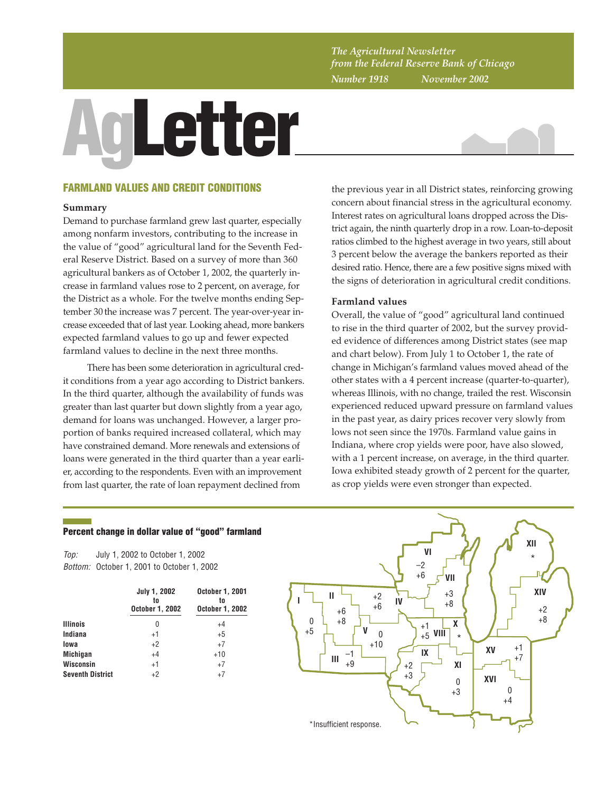*The Agricultural Newsletter from the Federal Reserve Bank of Chicago Number 1918 November 2002*

# **AgLetter**



# **FARMLAND VALUES AND CREDIT CONDITIONS**

#### **Summary**

Demand to purchase farmland grew last quarter, especially among nonfarm investors, contributing to the increase in the value of "good" agricultural land for the Seventh Federal Reserve District. Based on a survey of more than 360 agricultural bankers as of October 1, 2002, the quarterly increase in farmland values rose to 2 percent, on average, for the District as a whole. For the twelve months ending September 30 the increase was 7 percent. The year-over-year increase exceeded that of last year. Looking ahead, more bankers expected farmland values to go up and fewer expected farmland values to decline in the next three months.

There has been some deterioration in agricultural credit conditions from a year ago according to District bankers. In the third quarter, although the availability of funds was greater than last quarter but down slightly from a year ago, demand for loans was unchanged. However, a larger proportion of banks required increased collateral, which may have constrained demand. More renewals and extensions of loans were generated in the third quarter than a year earlier, according to the respondents. Even with an improvement from last quarter, the rate of loan repayment declined from

the previous year in all District states, reinforcing growing concern about financial stress in the agricultural economy. Interest rates on agricultural loans dropped across the District again, the ninth quarterly drop in a row. Loan-to-deposit ratios climbed to the highest average in two years, still about 3 percent below the average the bankers reported as their desired ratio. Hence, there are a few positive signs mixed with the signs of deterioration in agricultural credit conditions.

### **Farmland values**

Overall, the value of "good" agricultural land continued to rise in the third quarter of 2002, but the survey provided evidence of differences among District states (see map and chart below). From July 1 to October 1, the rate of change in Michigan's farmland values moved ahead of the other states with a 4 percent increase (quarter-to-quarter), whereas Illinois, with no change, trailed the rest. Wisconsin experienced reduced upward pressure on farmland values in the past year, as dairy prices recover very slowly from lows not seen since the 1970s. Farmland value gains in Indiana, where crop yields were poor, have also slowed, with a 1 percent increase, on average, in the third quarter. Iowa exhibited steady growth of 2 percent for the quarter, as crop yields were even stronger than expected.

# **Percent change in dollar value of "good" farmland**

Top: Bottom: October 1, 2001 to October 1, 2002 July 1, 2002 to October 1, 2002

|                         | July 1, 2002<br>to<br><b>October 1, 2002</b> | <b>October 1, 2001</b><br>to<br><b>October 1, 2002</b> |  |  |  |
|-------------------------|----------------------------------------------|--------------------------------------------------------|--|--|--|
| <b>Illinois</b>         | 0                                            | $+4$                                                   |  |  |  |
| Indiana                 | $+1$                                         | $+5$                                                   |  |  |  |
| lowa                    | $+2$                                         | $+7$                                                   |  |  |  |
| <b>Michigan</b>         | $+4$                                         | $+10$                                                  |  |  |  |
| Wisconsin               | $+1$                                         | $+7$                                                   |  |  |  |
| <b>Seventh District</b> | $+2$                                         | $+7$                                                   |  |  |  |

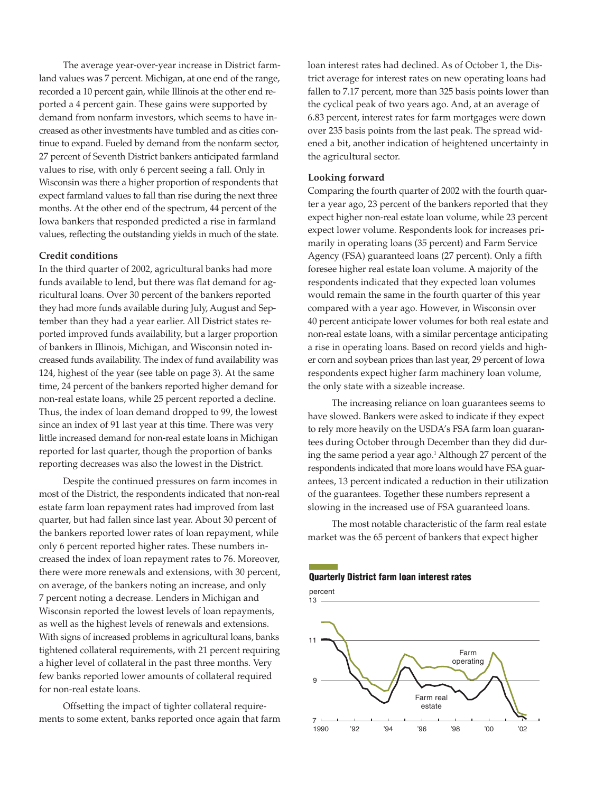The average year-over-year increase in District farmland values was 7 percent. Michigan, at one end of the range, recorded a 10 percent gain, while Illinois at the other end reported a 4 percent gain. These gains were supported by demand from nonfarm investors, which seems to have increased as other investments have tumbled and as cities continue to expand. Fueled by demand from the nonfarm sector, 27 percent of Seventh District bankers anticipated farmland values to rise, with only 6 percent seeing a fall. Only in Wisconsin was there a higher proportion of respondents that expect farmland values to fall than rise during the next three months. At the other end of the spectrum, 44 percent of the Iowa bankers that responded predicted a rise in farmland values, reflecting the outstanding yields in much of the state.

#### **Credit conditions**

In the third quarter of 2002, agricultural banks had more funds available to lend, but there was flat demand for agricultural loans. Over 30 percent of the bankers reported they had more funds available during July, August and September than they had a year earlier. All District states reported improved funds availability, but a larger proportion of bankers in Illinois, Michigan, and Wisconsin noted increased funds availability. The index of fund availability was 124, highest of the year (see table on page 3). At the same time, 24 percent of the bankers reported higher demand for non-real estate loans, while 25 percent reported a decline. Thus, the index of loan demand dropped to 99, the lowest since an index of 91 last year at this time. There was very little increased demand for non-real estate loans in Michigan reported for last quarter, though the proportion of banks reporting decreases was also the lowest in the District.

Despite the continued pressures on farm incomes in most of the District, the respondents indicated that non-real estate farm loan repayment rates had improved from last quarter, but had fallen since last year. About 30 percent of the bankers reported lower rates of loan repayment, while only 6 percent reported higher rates. These numbers increased the index of loan repayment rates to 76. Moreover, there were more renewals and extensions, with 30 percent, on average, of the bankers noting an increase, and only 7 percent noting a decrease. Lenders in Michigan and Wisconsin reported the lowest levels of loan repayments, as well as the highest levels of renewals and extensions. With signs of increased problems in agricultural loans, banks tightened collateral requirements, with 21 percent requiring a higher level of collateral in the past three months. Very few banks reported lower amounts of collateral required for non-real estate loans.

Offsetting the impact of tighter collateral requirements to some extent, banks reported once again that farm loan interest rates had declined. As of October 1, the District average for interest rates on new operating loans had fallen to 7.17 percent, more than 325 basis points lower than the cyclical peak of two years ago. And, at an average of 6.83 percent, interest rates for farm mortgages were down over 235 basis points from the last peak. The spread widened a bit, another indication of heightened uncertainty in the agricultural sector.

#### **Looking forward**

Comparing the fourth quarter of 2002 with the fourth quarter a year ago, 23 percent of the bankers reported that they expect higher non-real estate loan volume, while 23 percent expect lower volume. Respondents look for increases primarily in operating loans (35 percent) and Farm Service Agency (FSA) guaranteed loans (27 percent). Only a fifth foresee higher real estate loan volume. A majority of the respondents indicated that they expected loan volumes would remain the same in the fourth quarter of this year compared with a year ago. However, in Wisconsin over 40 percent anticipate lower volumes for both real estate and non-real estate loans, with a similar percentage anticipating a rise in operating loans. Based on record yields and higher corn and soybean prices than last year, 29 percent of Iowa respondents expect higher farm machinery loan volume, the only state with a sizeable increase.

The increasing reliance on loan guarantees seems to have slowed. Bankers were asked to indicate if they expect to rely more heavily on the USDA's FSA farm loan guarantees during October through December than they did during the same period a year ago.<sup>1</sup> Although 27 percent of the respondents indicated that more loans would have FSA guarantees, 13 percent indicated a reduction in their utilization of the guarantees. Together these numbers represent a slowing in the increased use of FSA guaranteed loans.

The most notable characteristic of the farm real estate market was the 65 percent of bankers that expect higher

#### **Quarterly District farm loan interest rates**

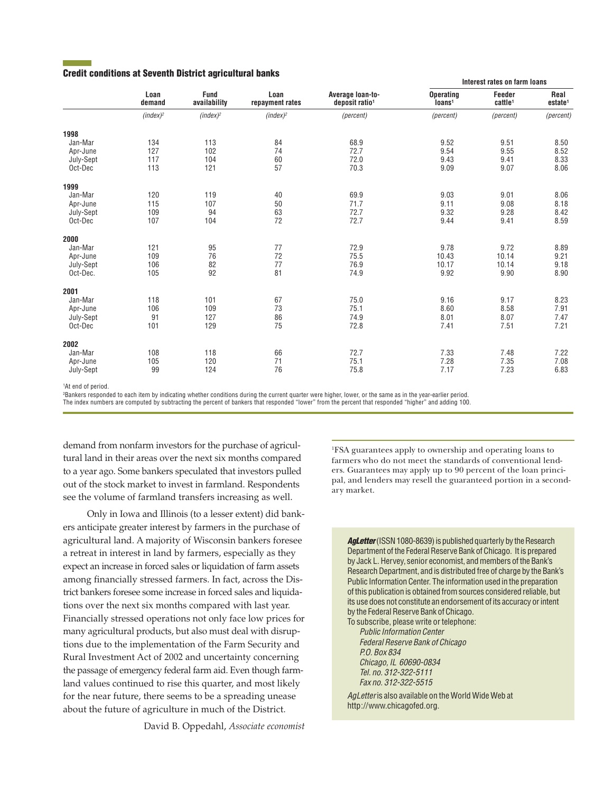# **Credit conditions at Seventh District agricultural banks**

|           | Loan<br>demand | <b>Fund</b><br>availability | Loan<br>repayment rates | Average loan-to-<br>deposit ratio <sup>1</sup> | Interest rates on farm loans           |                               |                             |
|-----------|----------------|-----------------------------|-------------------------|------------------------------------------------|----------------------------------------|-------------------------------|-----------------------------|
|           |                |                             |                         |                                                | <b>Operating</b><br>Ioans <sup>1</sup> | Feeder<br>cattle <sup>1</sup> | Real<br>estate <sup>1</sup> |
|           | $(index)^2$    | (index) <sup>2</sup>        | $(index)^2$             | (percent)                                      | (percent)                              | (percent)                     | (percent)                   |
| 1998      |                |                             |                         |                                                |                                        |                               |                             |
| Jan-Mar   | 134            | 113                         | 84                      | 68.9                                           | 9.52                                   | 9.51                          | 8.50                        |
| Apr-June  | 127            | 102                         | 74                      | 72.7                                           | 9.54                                   | 9.55                          | 8.52                        |
| July-Sept | 117            | 104                         | 60                      | 72.0                                           | 9.43                                   | 9.41                          | 8.33                        |
| Oct-Dec   | 113            | 121                         | 57                      | 70.3                                           | 9.09                                   | 9.07                          | 8.06                        |
| 1999      |                |                             |                         |                                                |                                        |                               |                             |
| Jan-Mar   | 120            | 119                         | 40                      | 69.9                                           | 9.03                                   | 9.01                          | 8.06                        |
| Apr-June  | 115            | 107                         | 50                      | 71.7                                           | 9.11                                   | 9.08                          | 8.18                        |
| July-Sept | 109            | 94                          | 63                      | 72.7                                           | 9.32                                   | 9.28                          | 8.42                        |
| Oct-Dec   | 107            | 104                         | 72                      | 72.7                                           | 9.44                                   | 9.41                          | 8.59                        |
| 2000      |                |                             |                         |                                                |                                        |                               |                             |
| Jan-Mar   | 121            | 95                          | 77                      | 72.9                                           | 9.78                                   | 9.72                          | 8.89                        |
| Apr-June  | 109            | 76                          | 72                      | 75.5                                           | 10.43                                  | 10.14                         | 9.21                        |
| July-Sept | 106            | 82                          | 77                      | 76.9                                           | 10.17                                  | 10.14                         | 9.18                        |
| Oct-Dec.  | 105            | 92                          | 81                      | 74.9                                           | 9.92                                   | 9.90                          | 8.90                        |
| 2001      |                |                             |                         |                                                |                                        |                               |                             |
| Jan-Mar   | 118            | 101                         | 67                      | 75.0                                           | 9.16                                   | 9.17                          | 8.23                        |
| Apr-June  | 106            | 109                         | 73                      | 75.1                                           | 8.60                                   | 8.58                          | 7.91                        |
| July-Sept | 91             | 127                         | 86                      | 74.9                                           | 8.01                                   | 8.07                          | 7.47                        |
| Oct-Dec   | 101            | 129                         | 75                      | 72.8                                           | 7.41                                   | 7.51                          | 7.21                        |
| 2002      |                |                             |                         |                                                |                                        |                               |                             |
| Jan-Mar   | 108            | 118                         | 66                      | 72.7                                           | 7.33                                   | 7.48                          | 7.22                        |
| Apr-June  | 105            | 120                         | 71                      | 75.1                                           | 7.28                                   | 7.35                          | 7.08                        |
| July-Sept | 99             | 124                         | 76                      | 75.8                                           | 7.17                                   | 7.23                          | 6.83                        |

1 At end of period.

2 Bankers responded to each item by indicating whether conditions during the current quarter were higher, lower, or the same as in the year-earlier period.

The index numbers are computed by subtracting the percent of bankers that responded "lower" from the percent that responded "higher" and adding 100.

demand from nonfarm investors for the purchase of agricultural land in their areas over the next six months compared to a year ago. Some bankers speculated that investors pulled out of the stock market to invest in farmland. Respondents see the volume of farmland transfers increasing as well.

Only in Iowa and Illinois (to a lesser extent) did bankers anticipate greater interest by farmers in the purchase of agricultural land. A majority of Wisconsin bankers foresee a retreat in interest in land by farmers, especially as they expect an increase in forced sales or liquidation of farm assets among financially stressed farmers. In fact, across the District bankers foresee some increase in forced sales and liquidations over the next six months compared with last year. Financially stressed operations not only face low prices for many agricultural products, but also must deal with disruptions due to the implementation of the Farm Security and Rural Investment Act of 2002 and uncertainty concerning the passage of emergency federal farm aid. Even though farmland values continued to rise this quarter, and most likely for the near future, there seems to be a spreading unease about the future of agriculture in much of the District.

David B. Oppedahl, *Associate economist*

1 FSA guarantees apply to ownership and operating loans to farmers who do not meet the standards of conventional lenders. Guarantees may apply up to 90 percent of the loan principal, and lenders may resell the guaranteed portion in a secondary market.

**AgLetter** (ISSN 1080-8639) is published quarterly by the Research Department of the Federal Reserve Bank of Chicago. It is prepared by Jack L. Hervey, senior economist, and members of the Bank's Research Department, and is distributed free of charge by the Bank's Public Information Center. The information used in the preparation of this publication is obtained from sources considered reliable, but its use does not constitute an endorsement of its accuracy or intent by the Federal Reserve Bank of Chicago.

To subscribe, please write or telephone: Public Information Center Federal Reserve Bank of Chicago P.O. Box 834 Chicago, IL 60690-0834 Tel. no. 312-322-5111 Fax no. 312-322-5515

AgLetter is also available on the World Wide Web at http://www.chicagofed.org.